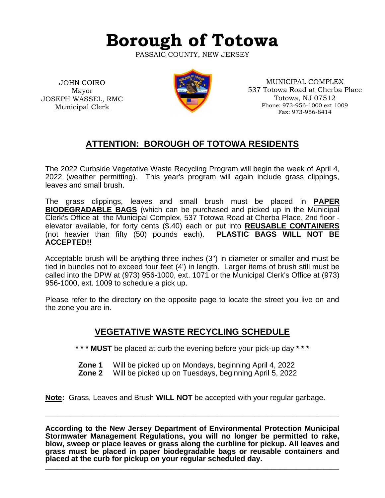# **Borough of Totowa**

PASSAIC COUNTY, NEW JERSEY

JOHN COIRO Mayor JOSEPH WASSEL, RMC Municipal Clerk



MUNICIPAL COMPLEX 537 Totowa Road at Cherba Place Totowa, NJ 07512 Phone: 973-956-1000 ext 1009 Fax: 973-956-8414

# **ATTENTION: BOROUGH OF TOTOWA RESIDENTS**

The 2022 Curbside Vegetative Waste Recycling Program will begin the week of April 4, 2022 (weather permitting). This year's program will again include grass clippings, leaves and small brush.

The grass clippings, leaves and small brush must be placed in **PAPER BIODEGRADABLE BAGS** (which can be purchased and picked up in the Municipal Clerk's Office at the Municipal Complex, 537 Totowa Road at Cherba Place, 2nd floor elevator available, for forty cents (\$.40) each or put into **REUSABLE CONTAINERS** (not heavier than fifty (50) pounds each). **PLASTIC BAGS WILL NOT BE ACCEPTED!!**

Acceptable brush will be anything three inches (3") in diameter or smaller and must be tied in bundles not to exceed four feet (4') in length. Larger items of brush still must be called into the DPW at (973) 956-1000, ext. 1071 or the Municipal Clerk's Office at (973) 956-1000, ext. 1009 to schedule a pick up.

Please refer to the directory on the opposite page to locate the street you live on and the zone you are in.

## **VEGETATIVE WASTE RECYCLING SCHEDULE**

**\* \* \* MUST** be placed at curb the evening before your pick-up day **\* \* \***

- **Zone 1** Will be picked up on Mondays, beginning April 4, 2022
- **Zone 2** Will be picked up on Tuesdays, beginning April 5, 2022

**Note:** Grass, Leaves and Brush **WILL NOT** be accepted with your regular garbage.

**According to the New Jersey Department of Environmental Protection Municipal Stormwater Management Regulations, you will no longer be permitted to rake, blow, sweep or place leaves or grass along the curbline for pickup. All leaves and grass must be placed in paper biodegradable bags or reusable containers and placed at the curb for pickup on your regular scheduled day.**

**\_\_\_\_\_\_\_\_\_\_\_\_\_\_\_\_\_\_\_\_\_\_\_\_\_\_\_\_\_\_\_\_\_\_\_\_\_\_\_\_\_\_\_\_\_\_\_\_\_\_\_\_\_\_\_\_\_\_\_\_\_\_\_\_\_\_\_\_\_\_**

**\_\_\_\_\_\_\_\_\_\_\_\_\_\_\_\_\_\_\_\_\_\_\_\_\_\_\_\_\_\_\_\_\_\_\_\_\_\_\_\_\_\_\_\_\_\_\_\_\_\_\_\_\_\_\_\_\_\_\_\_\_\_\_\_\_\_\_\_\_\_**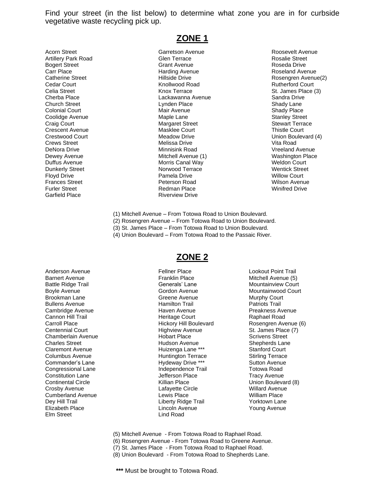Find your street (in the list below) to determine what zone you are in for curbside vegetative waste recycling pick up.

Acorn Street Garretson Avenue Roosevelt Avenue Garfield Place **Riverview Drive** 

## **ZONE 1**

Artillery Park Road **Glen Terrace** Glen Terrace **Glen Terrace** Rosalie Street Bogert Street Grant Avenue Grant Avenue **Grant Avenue** Roseda Drive Carr Place **Carr Place Harding Avenue** Harding Avenue Roseland Avenue Cedar Court **Court** Court **Knollwood Road Rutherford Court** Court Celia Street **Knox Terrace Celia Street St. James Place (3)** St. James Place (3) Cherba Place **Lackawanna Avenue** Cherba Place Sandra Drive Church Street **Lynden Place Church Street Shady Lane** Colonial Court **Colonial Court Colonial Court Colonial Court Colonial Court Colonial Court Colonial Court Colonial Court Colonial Court Colonial Court Colonial Court Colonial Court Colonial Court Colonial Court Colonial Co** Coolidge Avenue **Maple Lane** Maple Lane **Stanley Street** Craig Court **Craig Court** Craig Court Craig Court Craig Court Craig Court Craig Court Craig Court Craig Court Craig Court Craig Court Craig Court Craig Court Craig Court Craig Court Craig Court Craig Court Craig Court Crai Crescent Avenue Masklee Court Thistle Court Crews Street **Melissa Drive Crews Street** Vita Road DeNora Drive **Minnisink Road** Communisme Minnisink Road Vreeland Avenue Dewey Avenue **Mitchell Avenue (1)** Washington Place Duffus Avenue **Morris Canal Way** Morris Canal Way Meldon Court Dunkerly Street **Norwood Terrace** Norwood Terrace Norwood Terrace Network Street Floyd Drive **Pamela Drive Pamela Drive** Pamela Drive **Willow Court** Frances Street Peterson Road Wilson Avenue Furler Street **Redman Place Redman Place Redman Place Redman Place** Winifred Drive

Catherine Street Hillside Drive Rosengren Avenue(2) Crestwood Court **Crestwood Court** Meadow Drive **Netwood Court** 14 and 2008 Meadow Drive

- (1) Mitchell Avenue From Totowa Road to Union Boulevard.
- (2) Rosengren Avenue From Totowa Road to Union Boulevard.
- (3) St. James Place From Totowa Road to Union Boulevard.
- (4) Union Boulevard From Totowa Road to the Passaic River.

Commander's Lane Hydeway Drive \*\*\* Elm Street Lind Road

### **ZONE 2**

Anderson Avenue Fellner Place Lookout Point Trail Barnert Avenue Franklin Place Mitchell Avenue (5) Battle Ridge Trail **Battle Ridge Trail** Generals' Lane **Mountainview Court** Boyle Avenue **Gordon Avenue** Gordon Avenue Mountainwood Court Brookman Lane **Greene** Avenue **Greene** Avenue Murphy Court Bullens Avenue Hamilton Trail Patriots Trail Cambridge Avenue Haven Avenue Preakness Avenue Cannon Hill Trail **Cannon Hill Trail Court** Heritage Court **Raphael Road** Road Centennial Court **Court Highview Avenue** St. James Place (7) Chamberlain Avenue **Markt Election** Hobart Place **National Scrivens Street** Charles Street Hudson Avenue Shepherds Lane Claremont Avenue **Claremont Avenue** Huizenga Lane \*\*\* Stanford Court Columbus Avenue Huntington Terrace Stirling Terrace Congressional Lane **Independence Trail** Totowa Road Constitution Lane **Constitution Lane** Jefferson Place **Tracy Avenue** Continental Circle Killian Place Union Boulevard (8) Crosby Avenue Lafayette Circle Willard Avenue Cumberland Avenue Lewis Place William Place Dey Hill Trail **Deville Accord Liberty Ridge Trail** Norktown Lane Elizabeth Place **Lincoln Avenue** Lincoln Avenue **Young Avenue** 

Carroll Place **Exercise Set Accord** Hickory Hill Boulevard **Rosengren Avenue (6)** 

- (5) Mitchell Avenue From Totowa Road to Raphael Road.
- (6) Rosengren Avenue From Totowa Road to Greene Avenue.
- (7) St. James Place From Totowa Road to Raphael Road.
- (8) Union Boulevard From Totowa Road to Shepherds Lane.

**\*\*\*** Must be brought to Totowa Road.